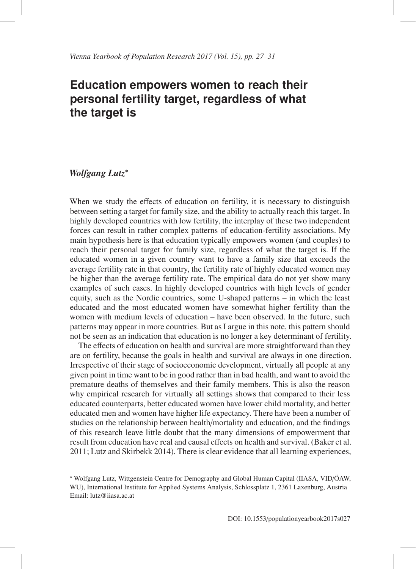## **Education empowers women to reach their personal fertility target, regardless of what the target is**

## *Wolfgang Lutz*<sup>∗</sup>

When we study the effects of education on fertility, it is necessary to distinguish between setting a target for family size, and the ability to actually reach this target. In highly developed countries with low fertility, the interplay of these two independent forces can result in rather complex patterns of education-fertility associations. My main hypothesis here is that education typically empowers women (and couples) to reach their personal target for family size, regardless of what the target is. If the educated women in a given country want to have a family size that exceeds the average fertility rate in that country, the fertility rate of highly educated women may be higher than the average fertility rate. The empirical data do not yet show many examples of such cases. In highly developed countries with high levels of gender equity, such as the Nordic countries, some U-shaped patterns – in which the least educated and the most educated women have somewhat higher fertility than the women with medium levels of education – have been observed. In the future, such patterns may appear in more countries. But as I argue in this note, this pattern should not be seen as an indication that education is no longer a key determinant of fertility.

The effects of education on health and survival are more straightforward than they are on fertility, because the goals in health and survival are always in one direction. Irrespective of their stage of socioeconomic development, virtually all people at any given point in time want to be in good rather than in bad health, and want to avoid the premature deaths of themselves and their family members. This is also the reason why empirical research for virtually all settings shows that compared to their less educated counterparts, better educated women have lower child mortality, and better educated men and women have higher life expectancy. There have been a number of studies on the relationship between health/mortality and education, and the findings of this research leave little doubt that the many dimensions of empowerment that result from education have real and causal effects on health and survival. (Baker et al. 2011; Lutz and Skirbekk 2014). There is clear evidence that all learning experiences,

<sup>∗</sup> Wolfgang Lutz, Wittgenstein Centre for Demography and Global Human Capital (IIASA, VID/OAW, ¨ WU), International Institute for Applied Systems Analysis, Schlossplatz 1, 2361 Laxenburg, Austria Email: lutz@iiasa.ac.at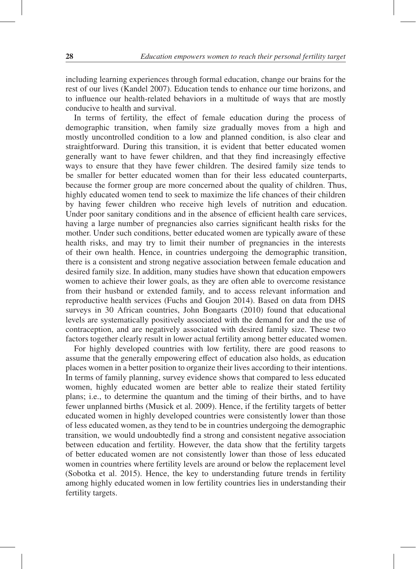including learning experiences through formal education, change our brains for the rest of our lives (Kandel 2007). Education tends to enhance our time horizons, and to influence our health-related behaviors in a multitude of ways that are mostly conducive to health and survival.

In terms of fertility, the effect of female education during the process of demographic transition, when family size gradually moves from a high and mostly uncontrolled condition to a low and planned condition, is also clear and straightforward. During this transition, it is evident that better educated women generally want to have fewer children, and that they find increasingly effective ways to ensure that they have fewer children. The desired family size tends to be smaller for better educated women than for their less educated counterparts, because the former group are more concerned about the quality of children. Thus, highly educated women tend to seek to maximize the life chances of their children by having fewer children who receive high levels of nutrition and education. Under poor sanitary conditions and in the absence of efficient health care services, having a large number of pregnancies also carries significant health risks for the mother. Under such conditions, better educated women are typically aware of these health risks, and may try to limit their number of pregnancies in the interests of their own health. Hence, in countries undergoing the demographic transition, there is a consistent and strong negative association between female education and desired family size. In addition, many studies have shown that education empowers women to achieve their lower goals, as they are often able to overcome resistance from their husband or extended family, and to access relevant information and reproductive health services (Fuchs and Goujon 2014). Based on data from DHS surveys in 30 African countries, John Bongaarts (2010) found that educational levels are systematically positively associated with the demand for and the use of contraception, and are negatively associated with desired family size. These two factors together clearly result in lower actual fertility among better educated women.

For highly developed countries with low fertility, there are good reasons to assume that the generally empowering effect of education also holds, as education places women in a better position to organize their lives according to their intentions. In terms of family planning, survey evidence shows that compared to less educated women, highly educated women are better able to realize their stated fertility plans; i.e., to determine the quantum and the timing of their births, and to have fewer unplanned births (Musick et al. 2009). Hence, if the fertility targets of better educated women in highly developed countries were consistently lower than those of less educated women, as they tend to be in countries undergoing the demographic transition, we would undoubtedly find a strong and consistent negative association between education and fertility. However, the data show that the fertility targets of better educated women are not consistently lower than those of less educated women in countries where fertility levels are around or below the replacement level (Sobotka et al. 2015). Hence, the key to understanding future trends in fertility among highly educated women in low fertility countries lies in understanding their fertility targets.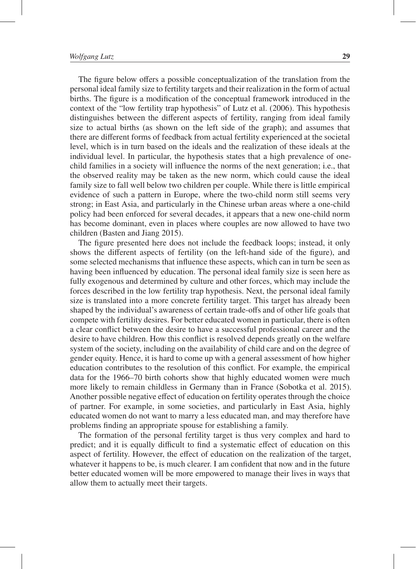The figure below offers a possible conceptualization of the translation from the personal ideal family size to fertility targets and their realization in the form of actual births. The figure is a modification of the conceptual framework introduced in the context of the "low fertility trap hypothesis" of Lutz et al. (2006). This hypothesis distinguishes between the different aspects of fertility, ranging from ideal family size to actual births (as shown on the left side of the graph); and assumes that there are different forms of feedback from actual fertility experienced at the societal level, which is in turn based on the ideals and the realization of these ideals at the individual level. In particular, the hypothesis states that a high prevalence of onechild families in a society will influence the norms of the next generation; i.e., that the observed reality may be taken as the new norm, which could cause the ideal family size to fall well below two children per couple. While there is little empirical evidence of such a pattern in Europe, where the two-child norm still seems very strong; in East Asia, and particularly in the Chinese urban areas where a one-child policy had been enforced for several decades, it appears that a new one-child norm has become dominant, even in places where couples are now allowed to have two children (Basten and Jiang 2015).

The figure presented here does not include the feedback loops; instead, it only shows the different aspects of fertility (on the left-hand side of the figure), and some selected mechanisms that influence these aspects, which can in turn be seen as having been influenced by education. The personal ideal family size is seen here as fully exogenous and determined by culture and other forces, which may include the forces described in the low fertility trap hypothesis. Next, the personal ideal family size is translated into a more concrete fertility target. This target has already been shaped by the individual's awareness of certain trade-offs and of other life goals that compete with fertility desires. For better educated women in particular, there is often a clear conflict between the desire to have a successful professional career and the desire to have children. How this conflict is resolved depends greatly on the welfare system of the society, including on the availability of child care and on the degree of gender equity. Hence, it is hard to come up with a general assessment of how higher education contributes to the resolution of this conflict. For example, the empirical data for the 1966–70 birth cohorts show that highly educated women were much more likely to remain childless in Germany than in France (Sobotka et al. 2015). Another possible negative effect of education on fertility operates through the choice of partner. For example, in some societies, and particularly in East Asia, highly educated women do not want to marry a less educated man, and may therefore have problems finding an appropriate spouse for establishing a family.

The formation of the personal fertility target is thus very complex and hard to predict; and it is equally difficult to find a systematic effect of education on this aspect of fertility. However, the effect of education on the realization of the target, whatever it happens to be, is much clearer. I am confident that now and in the future better educated women will be more empowered to manage their lives in ways that allow them to actually meet their targets.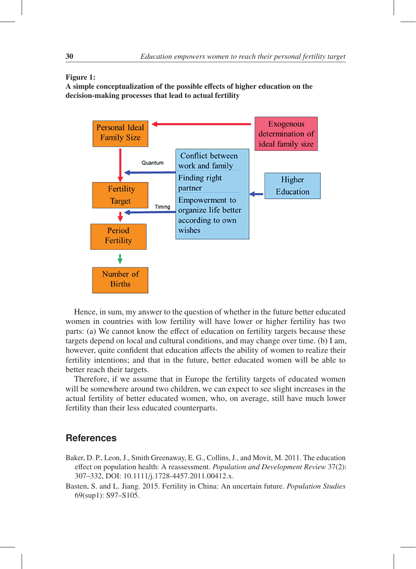## Figure 1:

A simple conceptualization of the possible effects of higher education on the decision-making processes that lead to actual fertility



Hence, in sum, my answer to the question of whether in the future better educated women in countries with low fertility will have lower or higher fertility has two parts: (a) We cannot know the effect of education on fertility targets because these targets depend on local and cultural conditions, and may change over time. (b) I am, however, quite confident that education affects the ability of women to realize their fertility intentions; and that in the future, better educated women will be able to better reach their targets.

Therefore, if we assume that in Europe the fertility targets of educated women will be somewhere around two children, we can expect to see slight increases in the actual fertility of better educated women, who, on average, still have much lower fertility than their less educated counterparts.

## **References**

- Baker, D. P., Leon, J., Smith Greenaway, E. G., Collins, J., and Movit, M. 2011. The education effect on population health: A reassessment. *Population and Development Review* 37(2): 307–332, DOI: 10.1111/j.1728-4457.2011.00412.x.
- Basten, S. and L. Jiang. 2015. Fertility in China: An uncertain future. *Population Studies* 69(sup1): S97–S105.